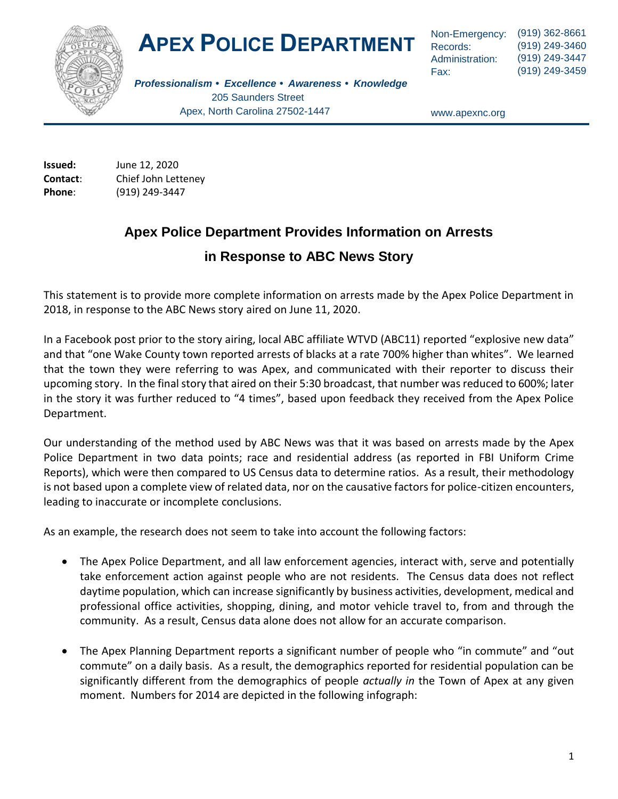

# **APEX POLICE DEPARTMENT**

Non-Emergency: Records: Administration: Fax:

(919) 362-8661 (919) 249-3460 (919) 249-3447 (919) 249-3459

*Professionalism • Excellence • Awareness • Knowledge* 205 Saunders Street Apex, North Carolina 27502-1447

www.apexnc.org

**Issued:** June 12, 2020 **Contact**: Chief John Letteney **Phone**: (919) 249-3447

### **Apex Police Department Provides Information on Arrests**

### **in Response to ABC News Story**

This statement is to provide more complete information on arrests made by the Apex Police Department in 2018, in response to the ABC News story aired on June 11, 2020.

In a Facebook post prior to the story airing, local ABC affiliate WTVD (ABC11) reported "explosive new data" and that "one Wake County town reported arrests of blacks at a rate 700% higher than whites". We learned that the town they were referring to was Apex, and communicated with their reporter to discuss their upcoming story. In the final story that aired on their 5:30 broadcast, that number was reduced to 600%; later in the story it was further reduced to "4 times", based upon feedback they received from the Apex Police Department.

Our understanding of the method used by ABC News was that it was based on arrests made by the Apex Police Department in two data points; race and residential address (as reported in FBI Uniform Crime Reports), which were then compared to US Census data to determine ratios. As a result, their methodology is not based upon a complete view of related data, nor on the causative factors for police-citizen encounters, leading to inaccurate or incomplete conclusions.

As an example, the research does not seem to take into account the following factors:

- The Apex Police Department, and all law enforcement agencies, interact with, serve and potentially take enforcement action against people who are not residents. The Census data does not reflect daytime population, which can increase significantly by business activities, development, medical and professional office activities, shopping, dining, and motor vehicle travel to, from and through the community. As a result, Census data alone does not allow for an accurate comparison.
- The Apex Planning Department reports a significant number of people who "in commute" and "out commute" on a daily basis. As a result, the demographics reported for residential population can be significantly different from the demographics of people *actually in* the Town of Apex at any given moment. Numbers for 2014 are depicted in the following infograph: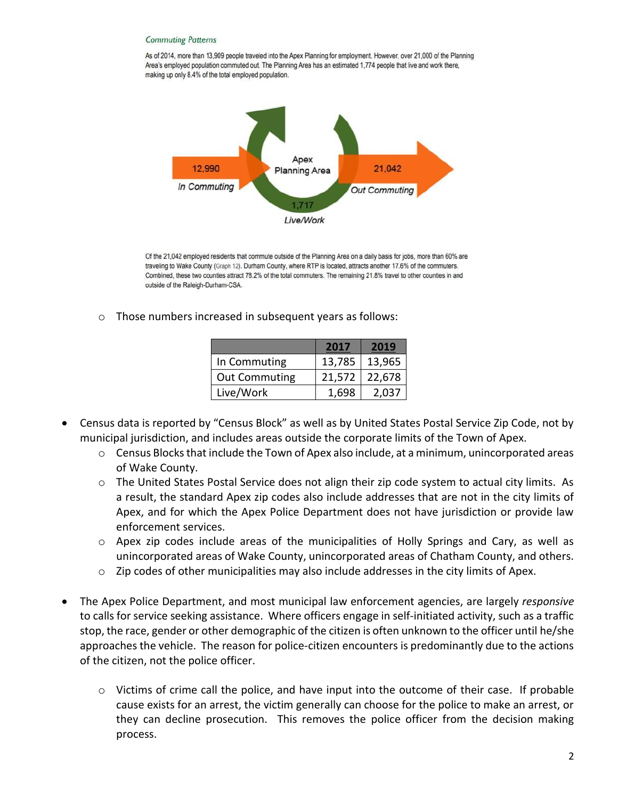#### **Commuting Patterns**

As of 2014, more than 13,909 people traveled into the Apex Planning for employment. However, over 21,000 of the Planning Area's employed population commuted out. The Planning Area has an estimated 1,774 people that live and work there, making up only 8.4% of the total employed population.



Of the 21,042 employed residents that commute outside of the Planning Area on a daily basis for jobs, more than 60% are traveling to Wake County (Graph 12). Durham County, where RTP is located, attracts another 17.6% of the commuters. Combined, these two counties attract 78.2% of the total commuters. The remaining 21.8% travel to other counties in and outside of the Raleigh-Durham-CSA.

o Those numbers increased in subsequent years as follows:

|                      | 2017   | 2019   |
|----------------------|--------|--------|
| In Commuting         | 13,785 | 13,965 |
| <b>Out Commuting</b> | 21,572 | 22,678 |
| Live/Work            | 1,698  | 2.037  |

- Census data is reported by "Census Block" as well as by United States Postal Service Zip Code, not by municipal jurisdiction, and includes areas outside the corporate limits of the Town of Apex.
	- $\circ$  Census Blocks that include the Town of Apex also include, at a minimum, unincorporated areas of Wake County.
	- o The United States Postal Service does not align their zip code system to actual city limits. As a result, the standard Apex zip codes also include addresses that are not in the city limits of Apex, and for which the Apex Police Department does not have jurisdiction or provide law enforcement services.
	- o Apex zip codes include areas of the municipalities of Holly Springs and Cary, as well as unincorporated areas of Wake County, unincorporated areas of Chatham County, and others.
	- o Zip codes of other municipalities may also include addresses in the city limits of Apex.
- The Apex Police Department, and most municipal law enforcement agencies, are largely *responsive* to calls for service seeking assistance. Where officers engage in self-initiated activity, such as a traffic stop, the race, gender or other demographic of the citizen is often unknown to the officer until he/she approaches the vehicle. The reason for police-citizen encounters is predominantly due to the actions of the citizen, not the police officer.
	- $\circ$  Victims of crime call the police, and have input into the outcome of their case. If probable cause exists for an arrest, the victim generally can choose for the police to make an arrest, or they can decline prosecution. This removes the police officer from the decision making process.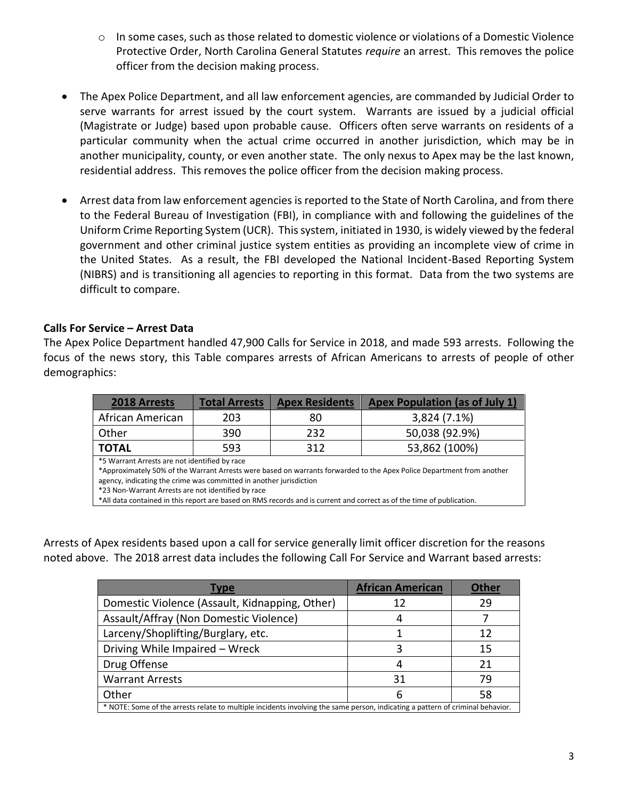- $\circ$  In some cases, such as those related to domestic violence or violations of a Domestic Violence Protective Order, North Carolina General Statutes *require* an arrest. This removes the police officer from the decision making process.
- The Apex Police Department, and all law enforcement agencies, are commanded by Judicial Order to serve warrants for arrest issued by the court system. Warrants are issued by a judicial official (Magistrate or Judge) based upon probable cause. Officers often serve warrants on residents of a particular community when the actual crime occurred in another jurisdiction, which may be in another municipality, county, or even another state. The only nexus to Apex may be the last known, residential address. This removes the police officer from the decision making process.
- Arrest data from law enforcement agencies is reported to the State of North Carolina, and from there to the Federal Bureau of Investigation (FBI), in compliance with and following the guidelines of the Uniform Crime Reporting System (UCR). This system, initiated in 1930, is widely viewed by the federal government and other criminal justice system entities as providing an incomplete view of crime in the United States. As a result, the FBI developed the National Incident-Based Reporting System (NIBRS) and is transitioning all agencies to reporting in this format. Data from the two systems are difficult to compare.

#### **Calls For Service – Arrest Data**

The Apex Police Department handled 47,900 Calls for Service in 2018, and made 593 arrests. Following the focus of the news story, this Table compares arrests of African Americans to arrests of people of other demographics:

| <b>2018 Arrests</b> | <b>Total Arrests</b> | <b>Apex Residents</b> | <b>Apex Population (as of July 1)</b> |
|---------------------|----------------------|-----------------------|---------------------------------------|
| African American    | 203                  | 80                    | 3,824 (7.1%)                          |
| Other               | 390                  | 232                   | 50,038 (92.9%)                        |
| <b>TOTAL</b>        | 593                  | 312                   | 53,862 (100%)                         |

\*5 Warrant Arrests are not identified by race

\*Approximately 50% of the Warrant Arrests were based on warrants forwarded to the Apex Police Department from another agency, indicating the crime was committed in another jurisdiction

\*23 Non-Warrant Arrests are not identified by race

\*All data contained in this report are based on RMS records and is current and correct as of the time of publication.

Arrests of Apex residents based upon a call for service generally limit officer discretion for the reasons noted above. The 2018 arrest data includes the following Call For Service and Warrant based arrests:

| Type                                                                                                                           | <b>African American</b> | <b>Other</b> |  |  |
|--------------------------------------------------------------------------------------------------------------------------------|-------------------------|--------------|--|--|
| Domestic Violence (Assault, Kidnapping, Other)                                                                                 | 12                      | 29           |  |  |
| Assault/Affray (Non Domestic Violence)                                                                                         |                         |              |  |  |
| Larceny/Shoplifting/Burglary, etc.                                                                                             |                         | 12           |  |  |
| Driving While Impaired - Wreck                                                                                                 |                         | 15           |  |  |
| Drug Offense                                                                                                                   |                         | 21           |  |  |
| <b>Warrant Arrests</b>                                                                                                         | 31                      | 79           |  |  |
| Other                                                                                                                          |                         | 58           |  |  |
| * NOTE: Some of the arrests relate to multiple incidents involving the same person, indicating a pattern of criminal behavior. |                         |              |  |  |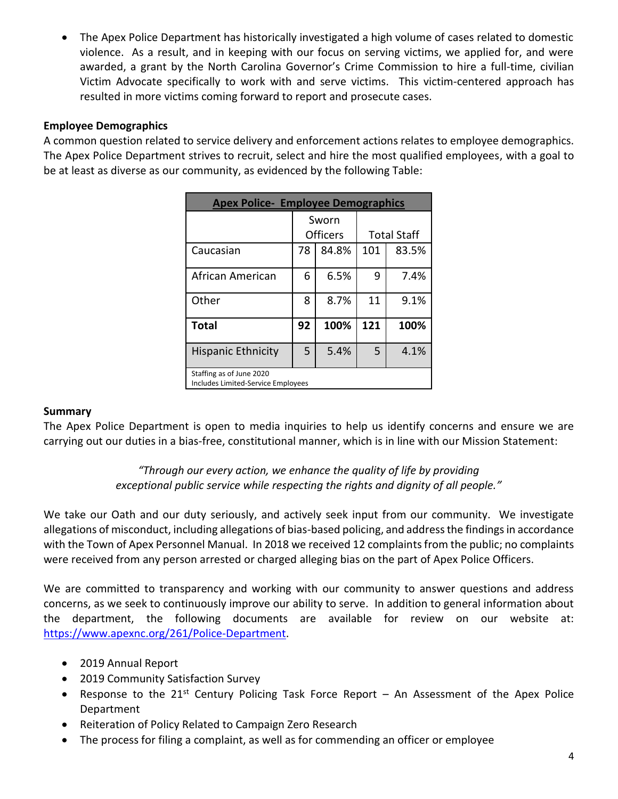The Apex Police Department has historically investigated a high volume of cases related to domestic violence. As a result, and in keeping with our focus on serving victims, we applied for, and were awarded, a grant by the North Carolina Governor's Crime Commission to hire a full-time, civilian Victim Advocate specifically to work with and serve victims. This victim-centered approach has resulted in more victims coming forward to report and prosecute cases.

#### **Employee Demographics**

A common question related to service delivery and enforcement actions relates to employee demographics. The Apex Police Department strives to recruit, select and hire the most qualified employees, with a goal to be at least as diverse as our community, as evidenced by the following Table:

| <b>Apex Police- Employee Demographics</b>                             |                 |       |                    |       |  |  |
|-----------------------------------------------------------------------|-----------------|-------|--------------------|-------|--|--|
|                                                                       | Sworn           |       |                    |       |  |  |
|                                                                       | <b>Officers</b> |       | <b>Total Staff</b> |       |  |  |
| Caucasian                                                             | 78              | 84.8% | 101                | 83.5% |  |  |
| African American                                                      | 6               | 6.5%  | 9                  | 7.4%  |  |  |
| Other                                                                 | 8               | 8.7%  | 11                 | 9.1%  |  |  |
| <b>Total</b>                                                          | 92              | 100%  | 121                | 100%  |  |  |
| <b>Hispanic Ethnicity</b>                                             | 5               | 5.4%  | 5                  | 4.1%  |  |  |
| Staffing as of June 2020<br><b>Includes Limited-Service Employees</b> |                 |       |                    |       |  |  |

#### **Summary**

The Apex Police Department is open to media inquiries to help us identify concerns and ensure we are carrying out our duties in a bias-free, constitutional manner, which is in line with our Mission Statement:

> *"Through our every action, we enhance the quality of life by providing exceptional public service while respecting the rights and dignity of all people."*

We take our Oath and our duty seriously, and actively seek input from our community. We investigate allegations of misconduct, including allegations of bias-based policing, and address the findings in accordance with the Town of Apex Personnel Manual. In 2018 we received 12 complaints from the public; no complaints were received from any person arrested or charged alleging bias on the part of Apex Police Officers.

We are committed to transparency and working with our community to answer questions and address concerns, as we seek to continuously improve our ability to serve. In addition to general information about the department, the following documents are available for review on our website at: [https://www.apexnc.org/261/Police-Department.](https://www.apexnc.org/261/Police-Department)

- 2019 Annual Report
- 2019 Community Satisfaction Survey
- Response to the 21<sup>st</sup> Century Policing Task Force Report An Assessment of the Apex Police Department
- Reiteration of Policy Related to Campaign Zero Research
- The process for filing a complaint, as well as for commending an officer or employee